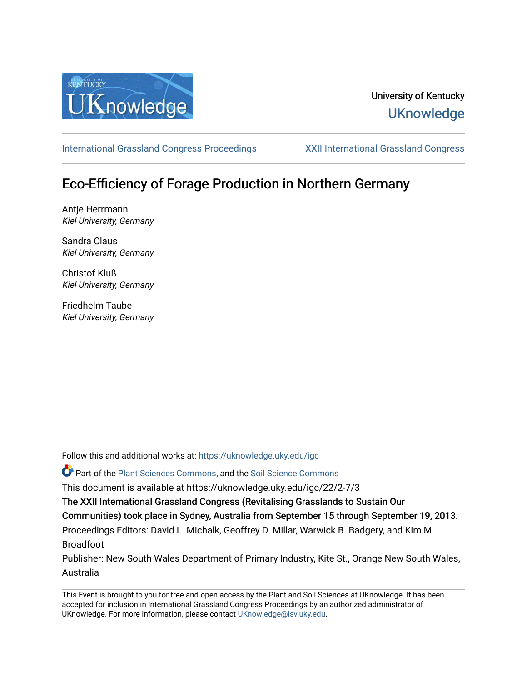

## University of Kentucky **UKnowledge**

[International Grassland Congress Proceedings](https://uknowledge.uky.edu/igc) [XXII International Grassland Congress](https://uknowledge.uky.edu/igc/22) 

# Eco-Efficiency of Forage Production in Northern Germany

Antje Herrmann Kiel University, Germany

Sandra Claus Kiel University, Germany

Christof Kluß Kiel University, Germany

Friedhelm Taube Kiel University, Germany

Follow this and additional works at: [https://uknowledge.uky.edu/igc](https://uknowledge.uky.edu/igc?utm_source=uknowledge.uky.edu%2Figc%2F22%2F2-7%2F3&utm_medium=PDF&utm_campaign=PDFCoverPages) 

Part of the [Plant Sciences Commons](http://network.bepress.com/hgg/discipline/102?utm_source=uknowledge.uky.edu%2Figc%2F22%2F2-7%2F3&utm_medium=PDF&utm_campaign=PDFCoverPages), and the [Soil Science Commons](http://network.bepress.com/hgg/discipline/163?utm_source=uknowledge.uky.edu%2Figc%2F22%2F2-7%2F3&utm_medium=PDF&utm_campaign=PDFCoverPages) 

This document is available at https://uknowledge.uky.edu/igc/22/2-7/3

The XXII International Grassland Congress (Revitalising Grasslands to Sustain Our

Communities) took place in Sydney, Australia from September 15 through September 19, 2013.

Proceedings Editors: David L. Michalk, Geoffrey D. Millar, Warwick B. Badgery, and Kim M. Broadfoot

Publisher: New South Wales Department of Primary Industry, Kite St., Orange New South Wales, Australia

This Event is brought to you for free and open access by the Plant and Soil Sciences at UKnowledge. It has been accepted for inclusion in International Grassland Congress Proceedings by an authorized administrator of UKnowledge. For more information, please contact [UKnowledge@lsv.uky.edu](mailto:UKnowledge@lsv.uky.edu).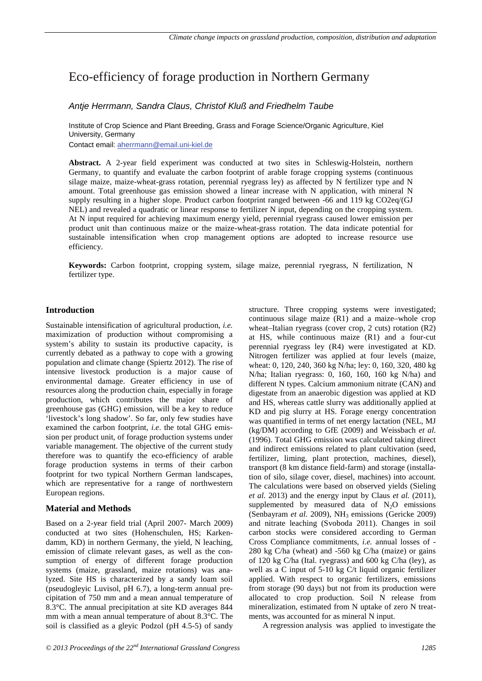### Eco-efficiency of forage production in Northern Germany

#### *Antje Herrmann, Sandra Claus, Christof Kluß and Friedhelm Taube*

Institute of Crop Science and Plant Breeding, Grass and Forage Science/Organic Agriculture, Kiel University, Germany Contact email: aherrmann@email.uni-kiel.de

**Abstract.** A 2-year field experiment was conducted at two sites in Schleswig-Holstein, northern Germany, to quantify and evaluate the carbon footprint of arable forage cropping systems (continuous silage maize, maize-wheat-grass rotation, perennial ryegrass ley) as affected by N fertilizer type and N amount. Total greenhouse gas emission showed a linear increase with N application, with mineral N supply resulting in a higher slope. Product carbon footprint ranged between -66 and 119 kg CO2eq/(GJ NEL) and revealed a quadratic or linear response to fertilizer N input, depending on the cropping system. At N input required for achieving maximum energy yield, perennial ryegrass caused lower emission per product unit than continuous maize or the maize-wheat-grass rotation. The data indicate potential for sustainable intensification when crop management options are adopted to increase resource use efficiency.

**Keywords:** Carbon footprint, cropping system, silage maize, perennial ryegrass, N fertilization, N fertilizer type.

#### **Introduction**

Sustainable intensification of agricultural production, *i.e.* maximization of production without compromising a system's ability to sustain its productive capacity, is currently debated as a pathway to cope with a growing population and climate change (Spiertz 2012). The rise of intensive livestock production is a major cause of environmental damage. Greater efficiency in use of resources along the production chain, especially in forage production, which contributes the major share of greenhouse gas (GHG) emission, will be a key to reduce 'livestock's long shadow'. So far, only few studies have examined the carbon footprint, *i.e*. the total GHG emission per product unit, of forage production systems under variable management. The objective of the current study therefore was to quantify the eco-efficiency of arable forage production systems in terms of their carbon footprint for two typical Northern German landscapes, which are representative for a range of northwestern European regions.

#### **Material and Methods**

Based on a 2-year field trial (April 2007- March 2009) conducted at two sites (Hohenschulen, HS; Karkendamm, KD) in northern Germany, the yield, N leaching, emission of climate relevant gases, as well as the consumption of energy of different forage production systems (maize, grassland, maize rotations) was analyzed. Site HS is characterized by a sandy loam soil (pseudogleyic Luvisol, pH 6.7), a long-term annual precipitation of 750 mm and a mean annual temperature of 8.3°C. The annual precipitation at site KD averages 844 mm with a mean annual temperature of about 8.3°C. The soil is classified as a gleyic Podzol (pH 4.5-5) of sandy

continuous silage maize (R1) and a maize–whole crop wheat–Italian ryegrass (cover crop, 2 cuts) rotation (R2) at HS, while continuous maize (R1) and a four-cut perennial ryegrass ley (R4) were investigated at KD. Nitrogen fertilizer was applied at four levels (maize, wheat: 0, 120, 240, 360 kg N/ha; ley: 0, 160, 320, 480 kg N/ha; Italian ryegrass: 0, 160, 160, 160 kg N/ha) and different N types. Calcium ammonium nitrate (CAN) and digestate from an anaerobic digestion was applied at KD and HS, whereas cattle slurry was additionally applied at KD and pig slurry at HS. Forage energy concentration was quantified in terms of net energy lactation (NEL, MJ (kg/DM) according to GfE (2009) and Weissbach *et al.* (1996). Total GHG emission was calculated taking direct and indirect emissions related to plant cultivation (seed, fertilizer, liming, plant protection, machines, diesel), transport (8 km distance field-farm) and storage (installation of silo, silage cover, diesel, machines) into account. The calculations were based on observed yields (Sieling *et al.* 2013) and the energy input by Claus *et al.* (2011), supplemented by measured data of  $N_2O$  emissions (Senbayram *et al.* 2009), NH<sub>3</sub> emissions (Gericke 2009) and nitrate leaching (Svoboda 2011). Changes in soil carbon stocks were considered according to German Cross Compliance commitments, *i.e.* annual losses of - 280 kg C/ha (wheat) and -560 kg C/ha (maize) or gains of 120 kg C/ha (Ital. ryegrass) and 600 kg C/ha (ley), as well as a C input of 5-10 kg C/t liquid organic fertilizer applied. With respect to organic fertilizers, emissions from storage (90 days) but not from its production were allocated to crop production. Soil N release from mineralization, estimated from N uptake of zero N treatments, was accounted for as mineral N input.

structure. Three cropping systems were investigated;

A regression analysis was applied to investigate the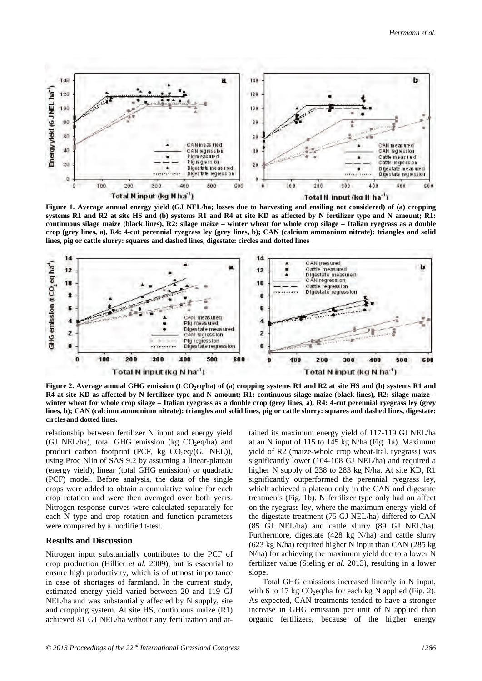

**Figure 1. Average annual energy yield (GJ NEL/ha; losses due to harvesting and ensiling not considered) of (a) cropping systems R1 and R2 at site HS and (b) systems R1 and R4 at site KD as affected by N fertilizer type and N amount; R1: continuous silage maize (black lines), R2: silage maize – winter wheat for whole crop silage – Italian ryegrass as a double crop (grey lines, a), R4: 4-cut perennial ryegrass ley (grey lines, b); CAN (calcium ammonium nitrate): triangles and solid lines, pig or cattle slurry: squares and dashed lines, digestate: circles and dotted lines**



**Figure 2.** Average annual GHG emission (t CO<sub>2</sub>eq/ha) of (a) cropping systems R1 and R2 at site HS and (b) systems R1 and **R4 at site KD as affected by N fertilizer type and N amount; R1: continuous silage maize (black lines), R2: silage maize – winter wheat for whole crop silage – Italian ryegrass as a double crop (grey lines, a), R4: 4-cut perennial ryegrass ley (grey lines, b); CAN (calcium ammonium nitrate): triangles and solid lines, pig or cattle slurry: squares and dashed lines, digestate: circlesand dotted lines.** 

relationship between fertilizer N input and energy yield (GJ NEL/ha), total GHG emission (kg  $CO<sub>2</sub>eq/ha$ ) and product carbon footprint (PCF,  $kg \text{CO}_2$ eq/(GJ NEL)), using Proc Nlin of SAS 9.2 by assuming a linear-plateau (energy yield), linear (total GHG emission) or quadratic (PCF) model. Before analysis, the data of the single crops were added to obtain a cumulative value for each crop rotation and were then averaged over both years. Nitrogen response curves were calculated separately for each N type and crop rotation and function parameters were compared by a modified t-test.

#### **Results and Discussion**

Nitrogen input substantially contributes to the PCF of crop production (Hillier *et al.* 2009), but is essential to ensure high productivity, which is of utmost importance in case of shortages of farmland. In the current study, estimated energy yield varied between 20 and 119 GJ NEL/ha and was substantially affected by N supply, site and cropping system. At site HS, continuous maize (R1) achieved 81 GJ NEL/ha without any fertilization and attained its maximum energy yield of 117-119 GJ NEL/ha at an N input of 115 to 145 kg N/ha (Fig. 1a). Maximum yield of R2 (maize-whole crop wheat-Ital. ryegrass) was significantly lower (104-108 GJ NEL/ha) and required a higher N supply of 238 to 283 kg N/ha. At site KD, R1 significantly outperformed the perennial ryegrass ley, which achieved a plateau only in the CAN and digestate treatments (Fig. 1b). N fertilizer type only had an affect on the ryegrass ley, where the maximum energy yield of the digestate treatment (75 GJ NEL/ha) differed to CAN (85 GJ NEL/ha) and cattle slurry (89 GJ NEL/ha). Furthermore, digestate (428 kg N/ha) and cattle slurry (623 kg N/ha) required higher N input than CAN (285 kg N/ha) for achieving the maximum yield due to a lower N fertilizer value (Sieling *et al.* 2013), resulting in a lower slope.

Total GHG emissions increased linearly in N input, with 6 to 17 kg  $CO<sub>2</sub>$ eq/ha for each kg N applied (Fig. 2). As expected, CAN treatments tended to have a stronger increase in GHG emission per unit of N applied than organic fertilizers, because of the higher energy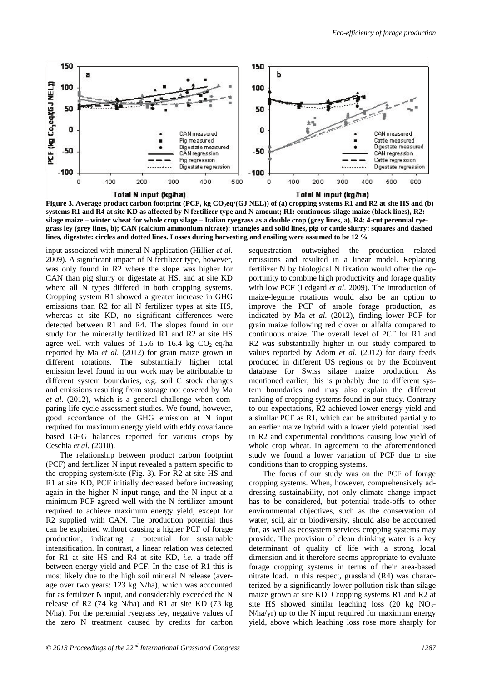

Total N input (kg/ha)

Total N input (kg/ha)

**Figure 3. Average product carbon footprint (PCF, kg CO<sub>2</sub>eq/(GJ NEL)) of (a) cropping systems R1 and R2 at site HS and (b) systems R1 and R4 at site KD as affected by N fertilizer type and N amount; R1: continuous silage maize (black lines), R2: silage maize – winter wheat for whole crop silage – Italian ryegrass as a double crop (grey lines, a), R4: 4-cut perennial ryegrass ley (grey lines, b); CAN (calcium ammonium nitrate): triangles and solid lines, pig or cattle slurry: squares and dashed lines, digestate: circles and dotted lines. Losses during harvesting and ensiling were assumed to be 12 %**

input associated with mineral N application (Hillier *et al.* 2009). A significant impact of N fertilizer type, however, was only found in R2 where the slope was higher for CAN than pig slurry or digestate at HS, and at site KD where all N types differed in both cropping systems. Cropping system R1 showed a greater increase in GHG emissions than R2 for all N fertilizer types at site HS, whereas at site KD, no significant differences were detected between R1 and R4. The slopes found in our study for the minerally fertilized R1 and R2 at site HS agree well with values of 15.6 to 16.4 kg  $CO<sub>2</sub>$  eq/ha reported by Ma *et al.* (2012) for grain maize grown in different rotations. The substantially higher total emission level found in our work may be attributable to different system boundaries, e.g. soil C stock changes and emissions resulting from storage not covered by Ma *et al*. (2012), which is a general challenge when comparing life cycle assessment studies. We found, however, good accordance of the GHG emission at N input required for maximum energy yield with eddy covariance based GHG balances reported for various crops by Ceschia *et al.* (2010).

The relationship between product carbon footprint (PCF) and fertilizer N input revealed a pattern specific to the cropping system/site (Fig. 3). For R2 at site HS and R1 at site KD, PCF initially decreased before increasing again in the higher N input range, and the N input at a minimum PCF agreed well with the N fertilizer amount required to achieve maximum energy yield, except for R2 supplied with CAN. The production potential thus can be exploited without causing a higher PCF of forage production, indicating a potential for sustainable intensification. In contrast, a linear relation was detected for R1 at site HS and R4 at site KD, *i.e.* a trade-off between energy yield and PCF. In the case of R1 this is most likely due to the high soil mineral N release (average over two years: 123 kg N/ha), which was accounted for as fertilizer N input, and considerably exceeded the N release of R2 (74 kg N/ha) and R1 at site KD (73 kg N/ha). For the perennial ryegrass ley, negative values of the zero N treatment caused by credits for carbon

sequestration outweighed the production related emissions and resulted in a linear model. Replacing fertilizer N by biological N fixation would offer the opportunity to combine high productivity and forage quality with low PCF (Ledgard *et al*. 2009). The introduction of maize-legume rotations would also be an option to improve the PCF of arable forage production, as indicated by Ma *et al.* (2012), finding lower PCF for grain maize following red clover or alfalfa compared to continuous maize. The overall level of PCF for R1 and R2 was substantially higher in our study compared to values reported by Adom *et al.* (2012) for dairy feeds produced in different US regions or by the Ecoinvent database for Swiss silage maize production. As mentioned earlier, this is probably due to different system boundaries and may also explain the different ranking of cropping systems found in our study. Contrary to our expectations, R2 achieved lower energy yield and a similar PCF as R1, which can be attributed partially to an earlier maize hybrid with a lower yield potential used in R2 and experimental conditions causing low yield of whole crop wheat. In agreement to the aforementioned study we found a lower variation of PCF due to site conditions than to cropping systems.

The focus of our study was on the PCF of forage cropping systems. When, however, comprehensively addressing sustainability, not only climate change impact has to be considered, but potential trade-offs to other environmental objectives, such as the conservation of water, soil, air or biodiversity, should also be accounted for, as well as ecosystem services cropping systems may provide. The provision of clean drinking water is a key determinant of quality of life with a strong local dimension and it therefore seems appropriate to evaluate forage cropping systems in terms of their area-based nitrate load. In this respect, grassland (R4) was characterized by a significantly lower pollution risk than silage maize grown at site KD. Cropping systems R1 and R2 at site HS showed similar leaching loss (20 kg  $NO<sub>3</sub>$ -N/ha/yr) up to the N input required for maximum energy yield, above which leaching loss rose more sharply for